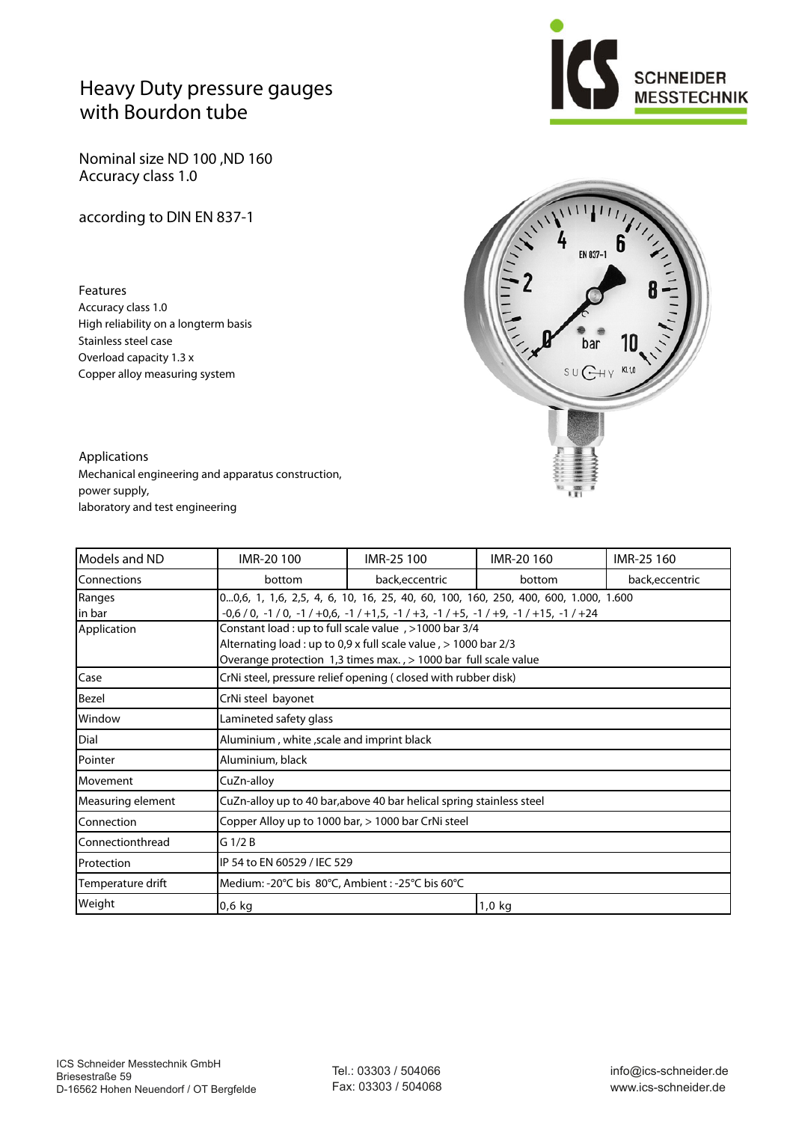## **Heavy Duty pressure gauges with Bourdon tube**

**Nominal size ND 100 ,ND 160 Accuracy class 1.0**

**according to DIN EN 837-1**

**Features** Accuracy class 1.0 High reliability on a longterm basis Stainless steel case Overload capacity 1.3 x Copper alloy measuring system





**Applications** Mechanical engineering and apparatus construction, power supply, laboratory and test engineering

| Models and ND     | IMR-20 100                                                                         | IMR-25 100      | IMR-20 160 | IMR-25 160      |  |  |  |  |  |  |
|-------------------|------------------------------------------------------------------------------------|-----------------|------------|-----------------|--|--|--|--|--|--|
| Connections       | bottom                                                                             | back, eccentric | bottom     | back, eccentric |  |  |  |  |  |  |
| Ranges            | 00,6, 1, 1,6, 2,5, 4, 6, 10, 16, 25, 40, 60, 100, 160, 250, 400, 600, 1.000, 1.600 |                 |            |                 |  |  |  |  |  |  |
| in bar            |                                                                                    |                 |            |                 |  |  |  |  |  |  |
| Application       | Sonstant load : up to full scale value, >1000 bar 3/4                              |                 |            |                 |  |  |  |  |  |  |
|                   | Alternating load : up to 0,9 x full scale value $,$ > 1000 bar 2/3                 |                 |            |                 |  |  |  |  |  |  |
|                   | Overange protection 1,3 times max., > 1000 bar full scale value                    |                 |            |                 |  |  |  |  |  |  |
| Case              | CrNi steel, pressure relief opening (closed with rubber disk)                      |                 |            |                 |  |  |  |  |  |  |
| Bezel             | CrNi steel bayonet                                                                 |                 |            |                 |  |  |  |  |  |  |
| Window            | Lamineted safety glass                                                             |                 |            |                 |  |  |  |  |  |  |
| Dial              | Aluminium, white, scale and imprint black                                          |                 |            |                 |  |  |  |  |  |  |
| Pointer           | Aluminium, black                                                                   |                 |            |                 |  |  |  |  |  |  |
| Movement          | CuZn-alloy                                                                         |                 |            |                 |  |  |  |  |  |  |
| Measuring element | CuZn-alloy up to 40 bar, above 40 bar helical spring stainless steel               |                 |            |                 |  |  |  |  |  |  |
| Connection        | Copper Alloy up to 1000 bar, > 1000 bar CrNi steel                                 |                 |            |                 |  |  |  |  |  |  |
| Connectionthread  | $G$ 1/2 B                                                                          |                 |            |                 |  |  |  |  |  |  |
| Protection        | IP 54 to EN 60529 / IEC 529                                                        |                 |            |                 |  |  |  |  |  |  |
| Temperature drift | Medium: -20°C bis 80°C, Ambient: -25°C bis 60°C                                    |                 |            |                 |  |  |  |  |  |  |
| Weight            | $0,6$ kg                                                                           |                 | $1,0$ kg   |                 |  |  |  |  |  |  |